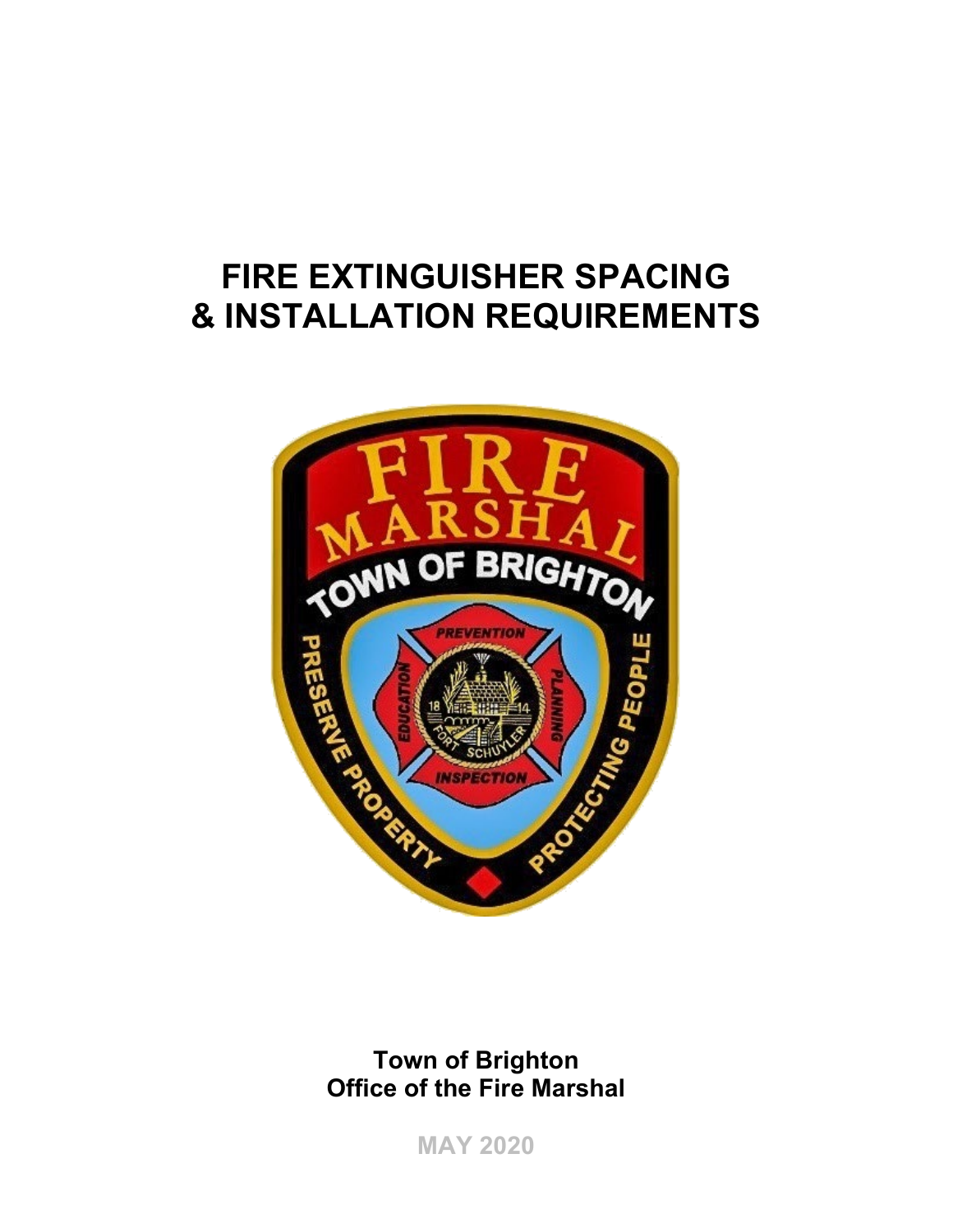# **FIRE EXTINGUISHER SPACING & INSTALLATION REQUIREMENTS**



**Town of Brighton Office of the Fire Marshal** 

**MAY 2020**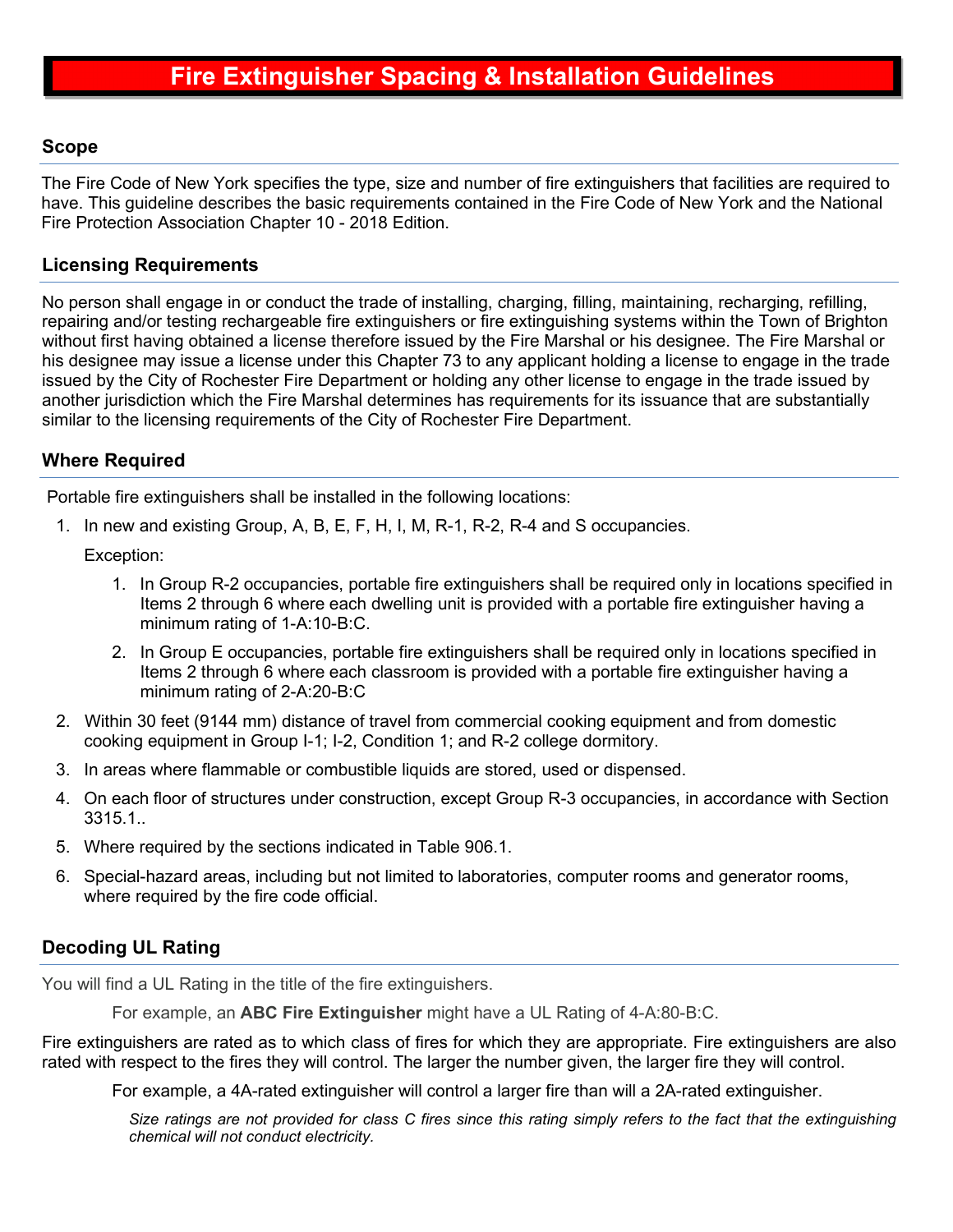#### **Scope**

The Fire Code of New York specifies the type, size and number of fire extinguishers that facilities are required to have. This guideline describes the basic requirements contained in the Fire Code of New York and the National Fire Protection Association Chapter 10 - 2018 Edition.

#### **Licensing Requirements**

No person shall engage in or conduct the trade of installing, charging, filling, maintaining, recharging, refilling, repairing and/or testing rechargeable fire extinguishers or fire extinguishing systems within the Town of Brighton without first having obtained a license therefore issued by the Fire Marshal or his designee. The Fire Marshal or his designee may issue a license under this Chapter 73 to any applicant holding a license to engage in the trade issued by the City of Rochester Fire Department or holding any other license to engage in the trade issued by another jurisdiction which the Fire Marshal determines has requirements for its issuance that are substantially similar to the licensing requirements of the City of Rochester Fire Department.

## **Where Required**

Portable fire extinguishers shall be installed in the following locations:

1. In new and existing Group, A, B, E, F, H, I, M, R-1, R-2, R-4 and S occupancies.

Exception:

- 1. In Group R-2 occupancies, portable fire extinguishers shall be required only in locations specified in Items 2 through 6 where each dwelling unit is provided with a portable fire extinguisher having a minimum rating of 1-A:10-B:C.
- 2. In Group E occupancies, portable fire extinguishers shall be required only in locations specified in Items 2 through 6 where each classroom is provided with a portable fire extinguisher having a minimum rating of 2-A:20-B:C
- 2. Within 30 feet (9144 mm) distance of travel from commercial cooking equipment and from domestic cooking equipment in Group I-1; I-2, Condition 1; and R-2 college dormitory.
- 3. In areas where flammable or combustible liquids are stored, used or dispensed.
- 4. On each floor of structures under construction, except Group R-3 occupancies, in accordance with Section 3315.1..
- 5. Where required by the sections indicated in Table 906.1.
- 6. Special-hazard areas, including but not limited to laboratories, computer rooms and generator rooms, where required by the fire code official.

# **Decoding UL Rating**

You will find a UL Rating in the title of the fire extinguishers.

For example, an **ABC Fire Extinguisher** might have a UL Rating of 4-A:80-B:C.

Fire extinguishers are rated as to which class of fires for which they are appropriate. Fire extinguishers are also rated with respect to the fires they will control. The larger the number given, the larger fire they will control.

For example, a 4A-rated extinguisher will control a larger fire than will a 2A-rated extinguisher.

*Size ratings are not provided for class C fires since this rating simply refers to the fact that the extinguishing chemical will not conduct electricity.*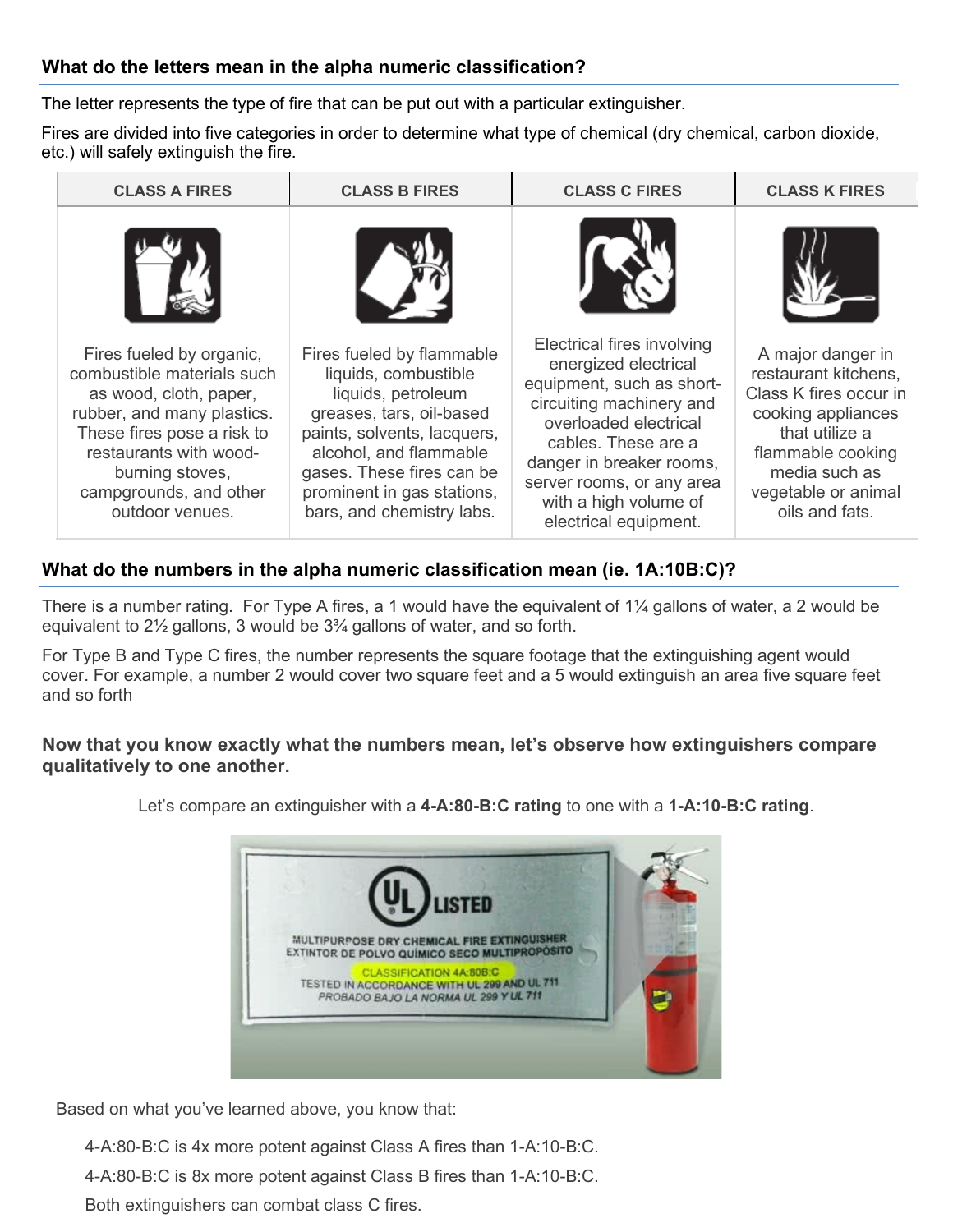# **What do the letters mean in the alpha numeric classification?**

The letter represents the type of fire that can be put out with a particular extinguisher.

Fires are divided into five categories in order to determine what type of chemical (dry chemical, carbon dioxide, etc.) will safely extinguish the fire.

| <b>CLASS A FIRES</b>                                                                                                                                                                                                                   | <b>CLASS B FIRES</b>                                                                                                                                                                                                                                 | <b>CLASS C FIRES</b>                                                                                                                                                                                                                                                   | <b>CLASS K FIRES</b>                                                                                                                                                                       |
|----------------------------------------------------------------------------------------------------------------------------------------------------------------------------------------------------------------------------------------|------------------------------------------------------------------------------------------------------------------------------------------------------------------------------------------------------------------------------------------------------|------------------------------------------------------------------------------------------------------------------------------------------------------------------------------------------------------------------------------------------------------------------------|--------------------------------------------------------------------------------------------------------------------------------------------------------------------------------------------|
|                                                                                                                                                                                                                                        |                                                                                                                                                                                                                                                      |                                                                                                                                                                                                                                                                        |                                                                                                                                                                                            |
| Fires fueled by organic,<br>combustible materials such<br>as wood, cloth, paper,<br>rubber, and many plastics.<br>These fires pose a risk to<br>restaurants with wood-<br>burning stoves,<br>campgrounds, and other<br>outdoor venues. | Fires fueled by flammable<br>liquids, combustible<br>liquids, petroleum<br>greases, tars, oil-based<br>paints, solvents, lacquers,<br>alcohol, and flammable<br>gases. These fires can be<br>prominent in gas stations,<br>bars, and chemistry labs. | Electrical fires involving<br>energized electrical<br>equipment, such as short-<br>circuiting machinery and<br>overloaded electrical<br>cables. These are a<br>danger in breaker rooms,<br>server rooms, or any area<br>with a high volume of<br>electrical equipment. | A major danger in<br>restaurant kitchens,<br>Class K fires occur in<br>cooking appliances<br>that utilize a<br>flammable cooking<br>media such as<br>vegetable or animal<br>oils and fats. |

# **What do the numbers in the alpha numeric classification mean (ie. 1A:10B:C)?**

There is a number rating. For Type A fires, a 1 would have the equivalent of 1¼ gallons of water, a 2 would be equivalent to 2½ gallons, 3 would be 3¾ gallons of water, and so forth.

For Type B and Type C fires, the number represents the square footage that the extinguishing agent would cover. For example, a number 2 would cover two square feet and a 5 would extinguish an area five square feet and so forth

### **Now that you know exactly what the numbers mean, let's observe how extinguishers compare qualitatively to one another.**



Let's compare an extinguisher with a **4-A:80-B:C rating** to one with a **1-A:10-B:C rating**.

Based on what you've learned above, you know that:

4-A:80-B:C is 4x more potent against Class A fires than 1-A:10-B:C. 4-A:80-B:C is 8x more potent against Class B fires than 1-A:10-B:C. Both extinguishers can combat class C fires.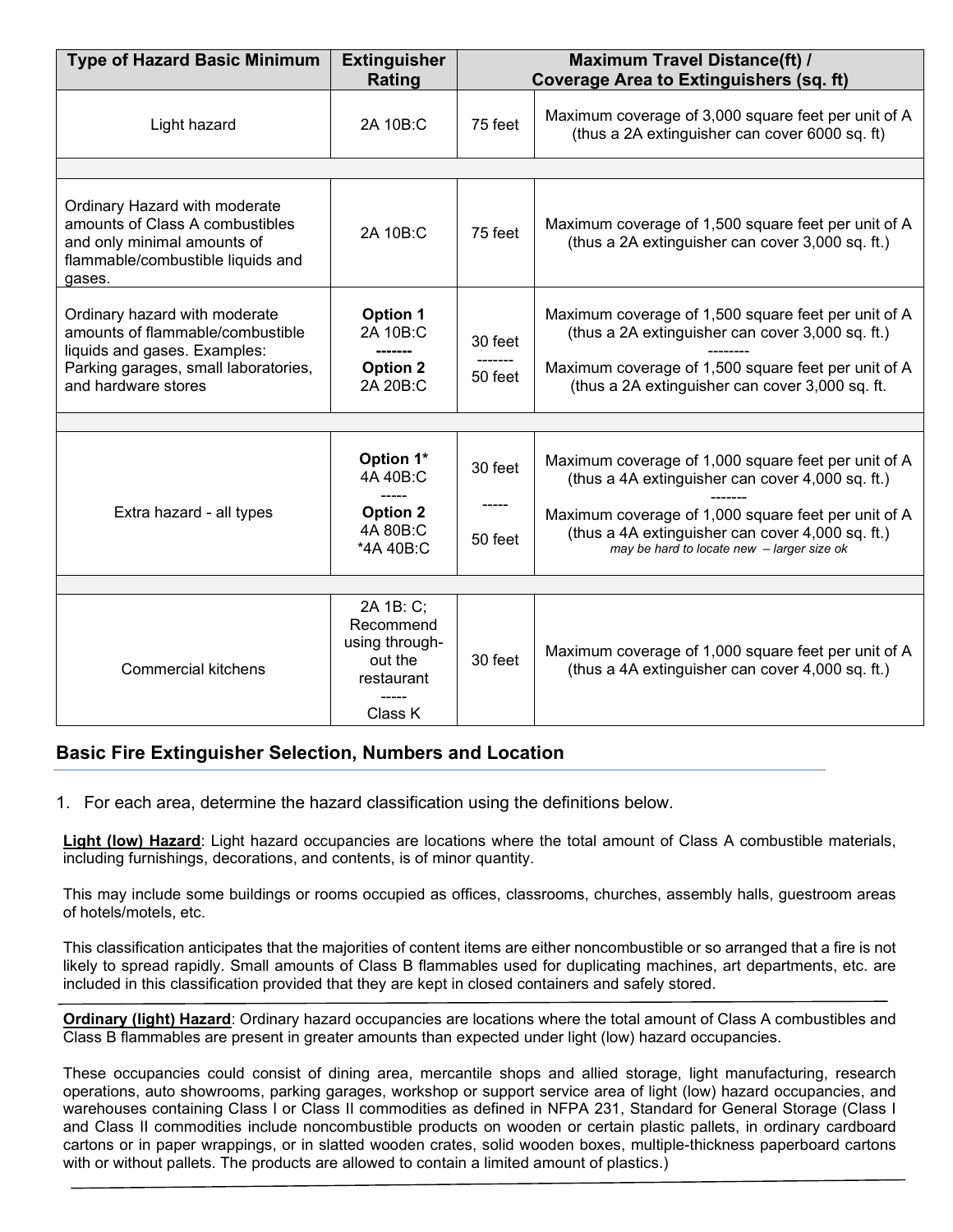| <b>Type of Hazard Basic Minimum</b>                                                                                                                              | <b>Extinguisher</b><br>Rating                                                | <b>Maximum Travel Distance(ft) /</b><br><b>Coverage Area to Extinguishers (sq. ft)</b> |                                                                                                                                                                                                                                                                  |  |  |  |
|------------------------------------------------------------------------------------------------------------------------------------------------------------------|------------------------------------------------------------------------------|----------------------------------------------------------------------------------------|------------------------------------------------------------------------------------------------------------------------------------------------------------------------------------------------------------------------------------------------------------------|--|--|--|
| Light hazard                                                                                                                                                     | 2A 10B:C                                                                     | 75 feet                                                                                | Maximum coverage of 3,000 square feet per unit of A<br>(thus a 2A extinguisher can cover 6000 sq. ft)                                                                                                                                                            |  |  |  |
|                                                                                                                                                                  |                                                                              |                                                                                        |                                                                                                                                                                                                                                                                  |  |  |  |
| Ordinary Hazard with moderate<br>amounts of Class A combustibles<br>and only minimal amounts of<br>flammable/combustible liquids and<br>gases.                   | 2A 10B:C                                                                     | 75 feet                                                                                | Maximum coverage of 1,500 square feet per unit of A<br>(thus a 2A extinguisher can cover 3,000 sq. ft.)                                                                                                                                                          |  |  |  |
| Ordinary hazard with moderate<br>amounts of flammable/combustible<br>liquids and gases. Examples:<br>Parking garages, small laboratories,<br>and hardware stores | <b>Option 1</b><br>2A 10B:C<br><b>Option 2</b><br>2A 20B:C                   | 30 feet<br>50 feet                                                                     | Maximum coverage of 1,500 square feet per unit of A<br>(thus a 2A extinguisher can cover 3,000 sq. ft.)<br>Maximum coverage of 1,500 square feet per unit of A<br>(thus a 2A extinguisher can cover 3,000 sq. ft.                                                |  |  |  |
|                                                                                                                                                                  |                                                                              |                                                                                        |                                                                                                                                                                                                                                                                  |  |  |  |
| Extra hazard - all types                                                                                                                                         | Option 1*<br>4A 40B:C<br><b>Option 2</b><br>4A 80B:C<br>*4A 40B:C            | 30 feet<br>-----<br>50 feet                                                            | Maximum coverage of 1,000 square feet per unit of A<br>(thus a 4A extinguisher can cover 4,000 sq. ft.)<br>Maximum coverage of 1,000 square feet per unit of A<br>(thus a 4A extinguisher can cover 4,000 sq. ft.)<br>may be hard to locate new - larger size ok |  |  |  |
|                                                                                                                                                                  |                                                                              |                                                                                        |                                                                                                                                                                                                                                                                  |  |  |  |
|                                                                                                                                                                  |                                                                              |                                                                                        |                                                                                                                                                                                                                                                                  |  |  |  |
| <b>Commercial kitchens</b>                                                                                                                                       | 2A 1B: C;<br>Recommend<br>using through-<br>out the<br>restaurant<br>Class K | 30 feet                                                                                | Maximum coverage of 1,000 square feet per unit of A<br>(thus a 4A extinguisher can cover 4,000 sq. ft.)                                                                                                                                                          |  |  |  |

### **Basic Fire Extinguisher Selection, Numbers and Location**

1. For each area, determine the hazard classification using the definitions below.

**Light (low) Hazard**: Light hazard occupancies are locations where the total amount of Class A combustible materials, including furnishings, decorations, and contents, is of minor quantity.

This may include some buildings or rooms occupied as offices, classrooms, churches, assembly halls, guestroom areas of hotels/motels, etc.

This classification anticipates that the majorities of content items are either noncombustible or so arranged that a fire is not likely to spread rapidly. Small amounts of Class B flammables used for duplicating machines, art departments, etc. are included in this classification provided that they are kept in closed containers and safely stored.

**Ordinary (light) Hazard**: Ordinary hazard occupancies are locations where the total amount of Class A combustibles and Class B flammables are present in greater amounts than expected under light (low) hazard occupancies.

These occupancies could consist of dining area, mercantile shops and allied storage, light manufacturing, research operations, auto showrooms, parking garages, workshop or support service area of light (low) hazard occupancies, and warehouses containing Class I or Class II commodities as defined in NFPA 231, Standard for General Storage (Class I and Class II commodities include noncombustible products on wooden or certain plastic pallets, in ordinary cardboard cartons or in paper wrappings, or in slatted wooden crates, solid wooden boxes, multiple-thickness paperboard cartons with or without pallets. The products are allowed to contain a limited amount of plastics.)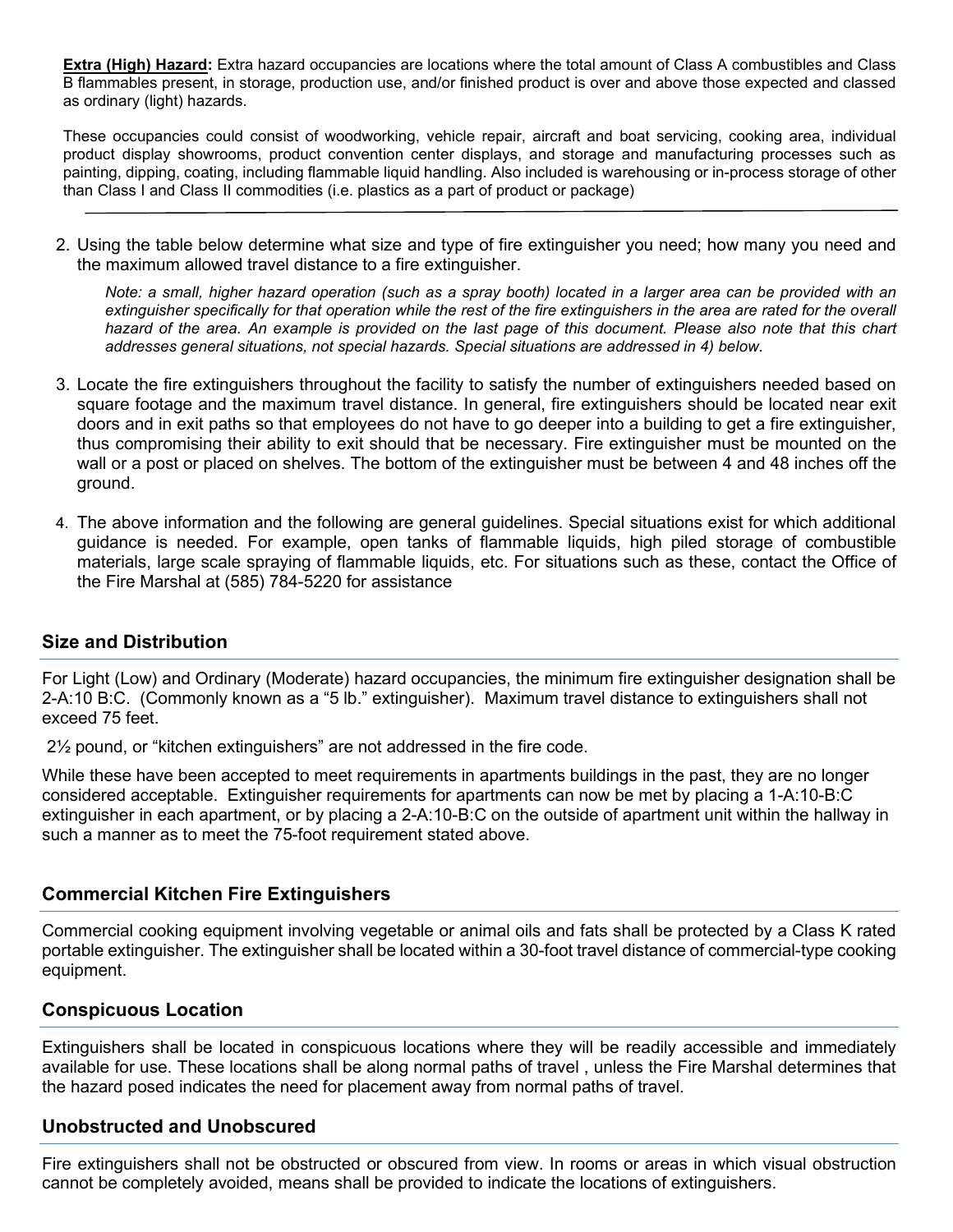**Extra (High) Hazard:** Extra hazard occupancies are locations where the total amount of Class A combustibles and Class B flammables present, in storage, production use, and/or finished product is over and above those expected and classed as ordinary (light) hazards.

These occupancies could consist of woodworking, vehicle repair, aircraft and boat servicing, cooking area, individual product display showrooms, product convention center displays, and storage and manufacturing processes such as painting, dipping, coating, including flammable liquid handling. Also included is warehousing or in-process storage of other than Class I and Class II commodities (i.e. plastics as a part of product or package)

2. Using the table below determine what size and type of fire extinguisher you need; how many you need and the maximum allowed travel distance to a fire extinguisher.

*Note: a small, higher hazard operation (such as a spray booth) located in a larger area can be provided with an extinguisher specifically for that operation while the rest of the fire extinguishers in the area are rated for the overall*  hazard of the area. An example is provided on the last page of this document. Please also note that this chart *addresses general situations, not special hazards. Special situations are addressed in 4) below.*

- 3. Locate the fire extinguishers throughout the facility to satisfy the number of extinguishers needed based on square footage and the maximum travel distance. In general, fire extinguishers should be located near exit doors and in exit paths so that employees do not have to go deeper into a building to get a fire extinguisher, thus compromising their ability to exit should that be necessary. Fire extinguisher must be mounted on the wall or a post or placed on shelves. The bottom of the extinguisher must be between 4 and 48 inches off the ground.
- 4. The above information and the following are general guidelines. Special situations exist for which additional guidance is needed. For example, open tanks of flammable liquids, high piled storage of combustible materials, large scale spraying of flammable liquids, etc. For situations such as these, contact the Office of the Fire Marshal at (585) 784-5220 for assistance

### **Size and Distribution**

For Light (Low) and Ordinary (Moderate) hazard occupancies, the minimum fire extinguisher designation shall be 2-A:10 B:C. (Commonly known as a "5 lb." extinguisher). Maximum travel distance to extinguishers shall not exceed 75 feet.

2½ pound, or "kitchen extinguishers" are not addressed in the fire code.

While these have been accepted to meet requirements in apartments buildings in the past, they are no longer considered acceptable. Extinguisher requirements for apartments can now be met by placing a 1-A:10-B:C extinguisher in each apartment, or by placing a 2-A:10-B:C on the outside of apartment unit within the hallway in such a manner as to meet the 75-foot requirement stated above.

#### **Commercial Kitchen Fire Extinguishers**

Commercial cooking equipment involving vegetable or animal oils and fats shall be protected by a Class K rated portable extinguisher. The extinguisher shall be located within a 30-foot travel distance of commercial-type cooking equipment.

#### **Conspicuous Location**

Extinguishers shall be located in conspicuous locations where they will be readily accessible and immediately available for use. These locations shall be along normal paths of travel , unless the Fire Marshal determines that the hazard posed indicates the need for placement away from normal paths of travel.

### **Unobstructed and Unobscured**

Fire extinguishers shall not be obstructed or obscured from view. In rooms or areas in which visual obstruction cannot be completely avoided, means shall be provided to indicate the locations of extinguishers.